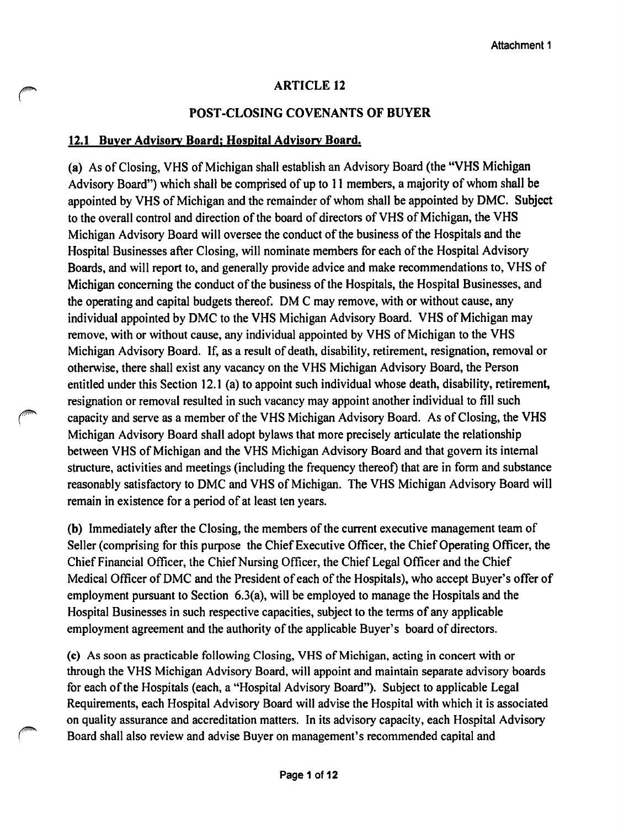## **ARTICLE 12**

## **POST-CLOSING COVENANTS OF BUYER**

#### **12.1 Buyer Advisory Board; Hospital Advisory Board.**

**(a)** As of Closing, VHS of Michigan shall establish an Advisory Board (the "VHS Michigan Advisory Board") which shall be comprised of up to 11 members, a majority of whom shall be appointed by VHS of Michigan and the remainder of whom shall be appointed by DMC. Subject to the overall control and direction of the board of directors of VHS of Michigan, the VHS Michigan Advisory Board will oversee the conduct of the business of the Hospitals and the Hospital Businesses after Closing, will nominate members for each of the Hospital Advisory Boards, and will report to, and generally provide advice and make recommendations to, VHS of Michigan concerning the conduct of the business of the Hospitals, the Hospital Businesses, and the operating and capital budgets thereof. DM C may remove, with or without cause, any individual appointed by DMC to the VHS Michigan Advisory Board. VHS of Michigan may remove, with or without cause, any individual appointed by VHS of Michigan to the VHS Michigan Advisory Board. If, as a result of death, disability, retirement, resignation, removal or otherwise, there shall exist any vacancy on the VHS Michigan Advisory Board, the Person entitled under this Section 12.1 (a) to appoint such individual whose death, disability, retirement, resignation or removal resulted in such vacancy may appoint another individual to fill such r capacity and serve as a member of the VHS Michigan Advisory Board. As of Closing, the VHS Michigan Advisory Board shall adopt bylaws that more precisely articulate the relationship between VHS of Michigan and the VHS Michigan Advisory Board and that govern its internal structure, activities and meetings (including the frequency thereof) that are in form and substance reasonably satisfactory to DMC and VHS of Michigan. The VHS Michigan Advisory Board will remain in existence for a period of at least ten years.

**(b)** Immediately after the Closing, the members of the current executive management team of Seller (comprising for this purpose the Chief Executive Officer, the Chief Operating Officer, the Chief Financial Officer, the Chief Nursing Officer, the Chief Legal Officer and the Chief Medical Officer of DMC and the President of each of the Hospitals), who accept Buyer's offer of employment pursuant to Section 6.3(a), will be employed to manage the Hospitals and the Hospital Businesses in such respective capacities, subject to the terms of any applicable employment agreement and the authority of the applicable Buyer's board of directors.

**(c)** As soon as practicable following Closing, VHS of Michigan, acting in concert with or through the VHS Michigan Advisory Board, will appoint and maintain separate advisory boards for each of the Hospitals (each, a "Hospital Advisory Board"). Subject to applicable Legal Requirements, each Hospital Advisory Board will advise the Hospital with which it is associated on quality assurance and accreditation matters. In its advisory capacity, each Hospital Advisory Board shall also review and advise Buyer on management's recommended capital and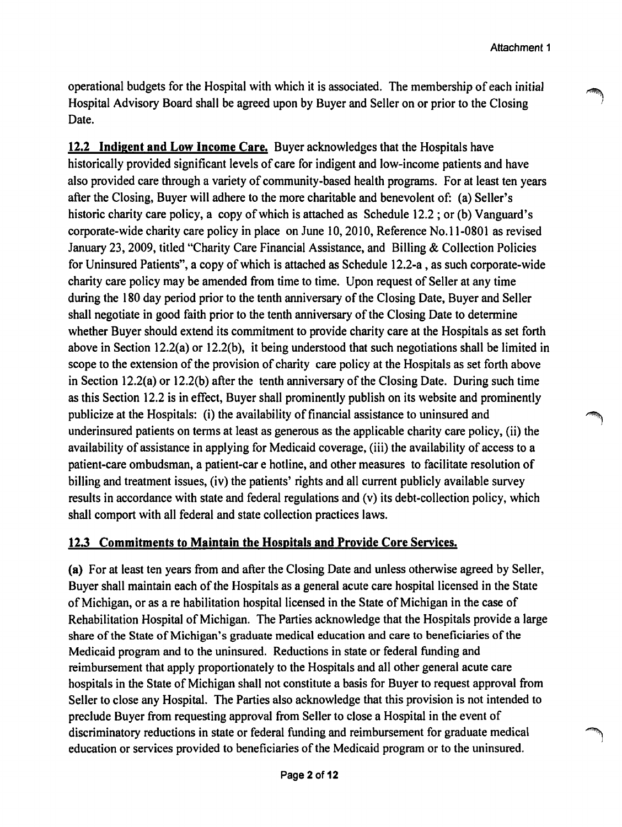operational budgets for the Hospital with which it is associated. The membership of each initial Hospital Advisory Board shall be agreed upon by Buyer and Seller on or prior to the Closing Date.

**12.2 Indigent and Low Income Care.** Buyer acknowledges that the Hospitals have historically provided significant levels of care for indigent and low-income patients and have also provided care through a variety of community-based health programs. For at least ten years after the Closing, Buyer will adhere to the more charitable and benevolent of: (a) Seller's historic charity care policy, a copy of which is attached as Schedule 12.2; or (b) Vanguard's corporate-wide charity care policy in place on June 10, 2010, Reference No.11-0801 as revised January 23, 2009, titled "Charity Care Financial Assistance, and Billing & Collection Policies for Uninsured Patients", a copy of which is attached as Schedule 12.2-a, as such corporate-wide charity care policy may be amended from time to time. Upon request of Seller at any time during the 180 day period prior to the tenth anniversary of the Closing Date, Buyer and Seller shall negotiate in good faith prior to the tenth anniversary of the Closing Date to determine whether Buyer should extend its commitment to provide charity care at the Hospitals as set forth above in Section 12.2(a) or 12.2(b), it being understood that such negotiations shall be limited in scope to the extension of the provision of charity care policy at the Hospitals as set forth above in Section 12.2(a) or 12.2(b) after the tenth anniversary of the Closing Date. During such time as this Section 12.2 is in effect, Buyer shall prominently publish on its website and prominently publicize at the Hospitals: (i) the availability of financial assistance to uninsured and underinsured patients on terms at least as generous as the applicable charity care policy, (ii) the availability of assistance in applying for Medicaid coverage, (iii) the availability of access to a patient-care ombudsman, a patient-car e hotline, and other measures to facilitate resolution of billing and treatment issues, (iv) the patients' rights and all current publicly available survey results in accordance with state and federal regulations and (v) its debt-collection policy, which shall comport with all federal and state collection practices laws.

#### **12.3 Commitments to Maintain the Hospitals and Provide Core Services.**

**(a)** For at least ten years from and after the Closing Date and unless otherwise agreed by Seller, Buyer shall maintain each of the Hospitals as a general acute care hospital licensed in the State of Michigan, or as a rehabilitation hospital licensed in the State of Michigan in the case of Rehabilitation Hospital of Michigan. The Parties acknowledge that the Hospitals provide a large share of the State of Michigan's graduate medical education and care to beneficiaries of the Medicaid program and to the uninsured. Reductions in state or federal funding and reimbursement that apply proportionately to the Hospitals and all other general acute care hospitals in the State of Michigan shall not constitute a basis for Buyer to request approval from Seller to close any Hospital. The Parties also acknowledge that this provision is not intended to preclude Buyer from requesting approval from Seller to close a Hospital in the event of discriminatory reductions in state or federal funding and reimbursement for graduate medical 1 education or services provided to beneficiaries of the Medicaid program or to the uninsured.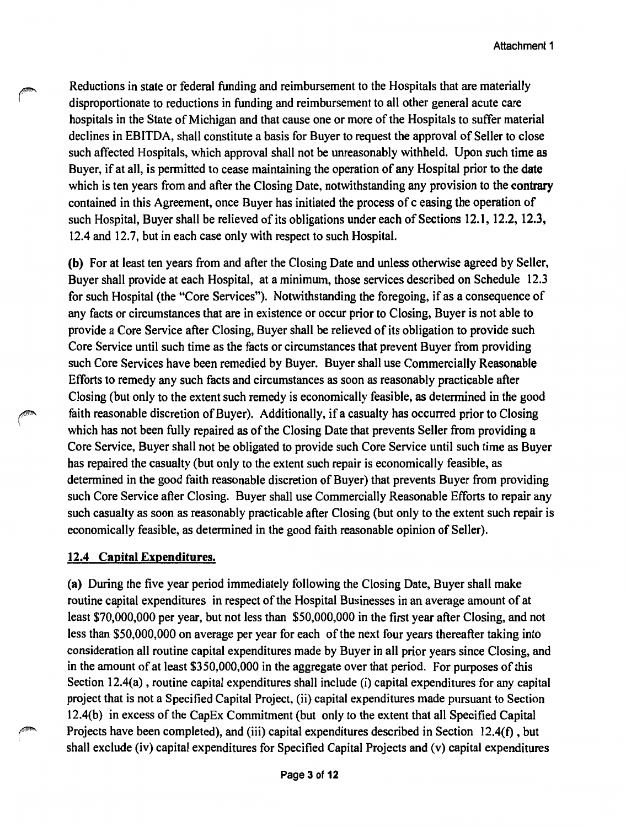Reductions in state or federal funding and reimbursement to the Hospitals that are materially disproportionate to reductions in funding and reimbursement to all other general acute care hospitals in the State of Michigan and that cause one or more of the Hospitals to suffer material declines in EBITDA, shall constitute a basis for Buyer to request the approval of Seller to close such affected Hospitals, which approval shall not be unreasonably withheld. Upon such time as Buyer, if at all, is permitted to cease maintaining the operation of any Hospital prior to the date which is ten years from and after the Closing Date, notwithstanding any provision to the contrary contained in this Agreement, once Buyer has initiated the process of c easing the operation of such Hospital, Buyer shall be relieved of its obligations under each of Sections 12.1, 12.2, 12.3, 12.4 and 12.7, but in each case only with respect to such Hospital.

(b) For at least ten years from and after the Closing Date and unless otherwise agreed by Seller, Buyer shall provide at each Hospital, at a minimum, those services described on Schedule 12.3 for such Hospital (the "Core Services"). Notwithstanding the foregoing, if as a consequence of any facts or circumstances that are in existence or occur prior to Closing, Buyer is not able to provide a Core Service after Closing, Buyer shall be relieved of its obligation to provide such Core Service until such time as the facts or circumstances that prevent Buyer from providing such Core Services have been remedied by Buyer. Buyer shall use Commercially Reasonable Efforts to remedy any such facts and circumstances as soon as reasonably practicable after Closing (but only to the extent such remedy is economically feasible, as determined in the good faith reasonable discretion of Buyer). Additionally, if a casualty has occurred prior to Closing which has not been fully repaired as of the Closing Date that prevents Seller from providing a Core Service, Buyer shall not be obligated to provide such Core Service until such time as Buyer has repaired the casualty (but only to the extent such repair is economically feasible, as determined in the good faith reasonable discretion of Buyer) that prevents Buyer from providing such Core Service after Closing. Buyer shall use Commercially Reasonable Efforts to repair any such casualty as soon as reasonably practicable after Closing (but only to the extent such repair is economically feasible, as determined in the good faith reasonable opinion of Seller).

#### **12.4 Capital Expenditures.**

(a) During the five year period immediately following the Closing Date, Buyer shall make routine capital expenditures in respect of the Hospital Businesses in an average amount of at least \$70,000,000 per year, but not less than \$50,000,000 in the first year after Closing, and not less than \$50,000,000 on average per year for each of the next four years thereafter taking into consideration all routine capital expenditures made by Buyer in all prior years since Closing, and in the amount of at least \$350,000,000 in the aggregate over that period. For purposes of this Section 12.4(a), routine capital expenditures shall include (i) capital expenditures for any capital project that is not a Specified Capital Project, (ii) capital expenditures made pursuant to Section l 2.4(b) in excess of the CapEx Commitment (but only to the extent that all Specified Capital Projects have been completed), and (iii) capital expenditures described in Section 12.4(f), but shall exclude (iv) capital expenditures for Specified Capital Projects and (v) capital expenditures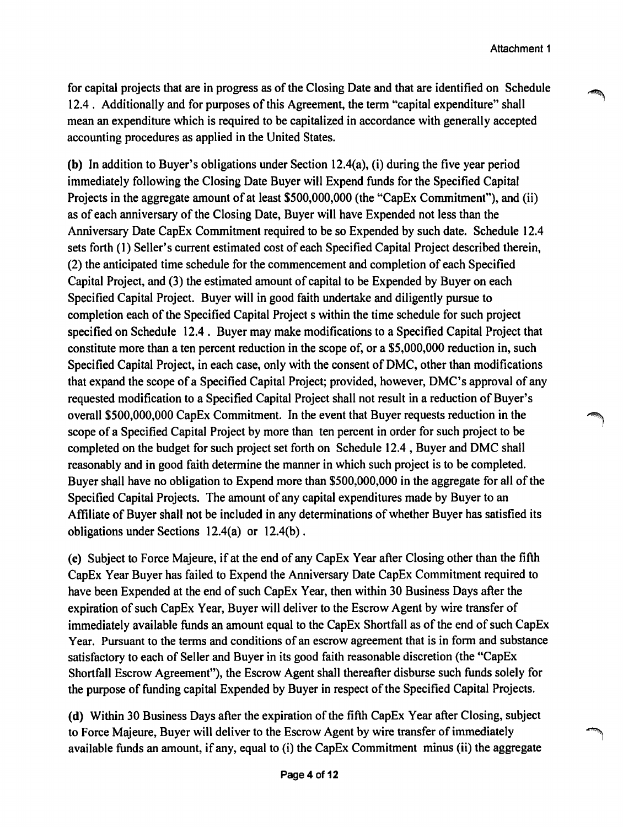for capital projects that are in progress as of the Closing Date and that are identified on Schedule 12.4 . Additionally and for purposes of this Agreement, the term "capital expenditure" shall mean an expenditure which is required to be capitalized in accordance with generally accepted accounting procedures as applied in the United States.

**(b)** In addition to Buyer's obligations under Section 12.4(a), (i) during the five year period immediately following the Closing Date Buyer will Expend funds for the Specified Capital Projects in the aggregate amount of at least \$500,000,000 (the "CapEx Commitment"), and (ii) as of each anniversary of the Closing Date, Buyer will have Expended not less than the Anniversary Date CapEx Commitment required to be so Expended by such date. Schedule 12.4 sets forth (1) Seller's current estimated cost of each Specified Capital Project described therein, (2) the anticipated time schedule for the commencement and completion of each Specified Capital Project, and (3) the estimated amount of capital to be Expended by Buyer on each Specified Capital Project. Buyer will in good faith undertake and diligently pursue to completion each of the Specified Capital Project s within the time schedule for such project specified on Schedule 12.4 . Buyer may make modifications to a Specified Capital Project that constitute more than a ten percent reduction in the scope of, or a \$5,000,000 reduction in, such Specified Capital Project, in each case, only with the consent of DMC, other than modifications that expand the scope of a Specified Capital Project; provided, however, DMC's approval of any requested modification to a Specified Capital Project shall not result in a reduction of Buyer's overall \$500,000,000 CapEx Commitment. In the event that Buyer requests reduction in the ~ scope of a Specified Capital Project by more than ten percent in order for such project to be completed on the budget for such project set forth on Schedule 12.4 , Buyer and DMC shall reasonably and in good faith determine the manner in which such project is to be completed. Buyer shall have no obligation to Expend more than \$500,000,000 in the aggregate for all of the Specified Capital Projects. The amount of any capital expenditures made by Buyer to an Affiliate of Buyer shall not be included in any determinations of whether Buyer has satisfied its obligations under Sections 12.4(a) or 12.4(b).

(c) Subject to Force Majeure, if at the end of any CapEx Year after Closing other than the fifth CapEx Year Buyer has failed to Expend the Anniversary Date CapEx Commitment required to have been Expended at the end of such CapEx Year, then within 30 Business Days after the expiration of such CapEx Year, Buyer will deliver to the Escrow Agent by wire transfer of immediately available funds an amount equal to the CapEx Shortfall as of the end of such CapEx Year. Pursuant to the terms and conditions of an escrow agreement that is in form and substance satisfactory to each of Seller and Buyer in its good faith reasonable discretion (the "CapEx Shortfall Escrow Agreement"), the Escrow Agent shall thereafter disburse such funds solely for the purpose of funding capital Expended by Buyer in respect of the Specified Capital Projects.

**(d)** Within 30 Business Days after the expiration of the fifth CapEx Year after Closing, subject to Force Majeure, Buyer will deliver to the Escrow Agent by wire transfer of immediately 1 available funds an amount, if any, equal to (i) the CapEx Commitment minus (ii) the aggregate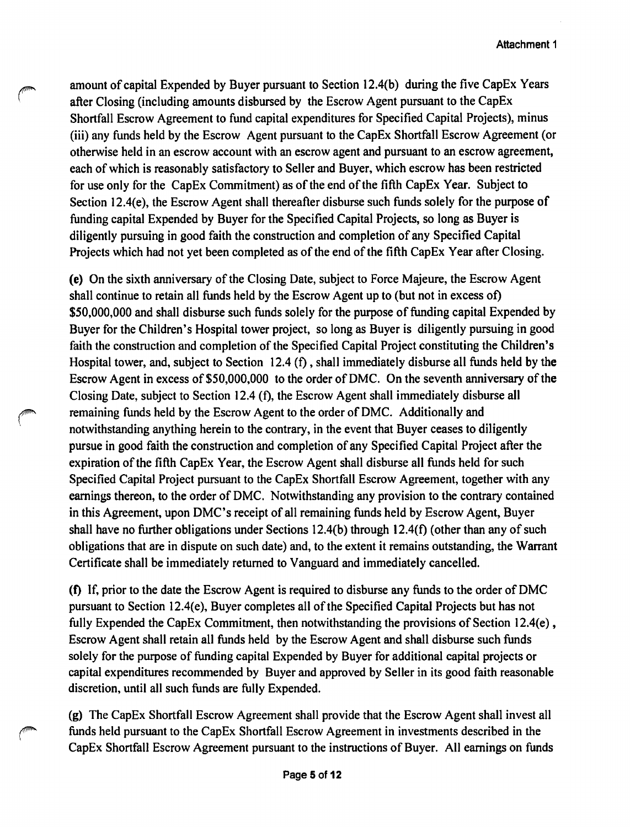amount of capital Expended by Buyer pursuant to Section 12.4(b) during the five CapEx Years after Closing (including amounts disbursed by the Escrow Agent pursuant to the CapEx Shortfall Escrow Agreement to fund capital expenditures for Specified Capital Projects), minus (iii) any funds held by the Escrow Agent pursuant to the CapEx Shortfall Escrow Agreement ( or otherwise held in an escrow account with an escrow agent and pursuant to an escrow agreement, each of which is reasonably satisfactory to Seller and Buyer, which escrow has been restricted for use only for the CapEx Commitment) as of the end of the fifth CapEx Year. Subject to Section 12.4(e), the Escrow Agent shall thereafter disburse such funds solely for the purpose of funding capital Expended by Buyer for the Specified Capital Projects, so long as Buyer is diligently pursuing in good faith the construction and completion of any Specified Capital Projects which had not yet been completed as of the end of the fifth CapEx Year after Closing.

(e) On the sixth anniversary of the Closing Date, subject to Force Majeure, the Escrow Agent shall continue to retain all funds held by the Escrow Agent up to (but not in excess of) \$50,000,000 and shall disburse such funds solely for the purpose of funding capital Expended by Buyer for the Children's Hospital tower project, so long as Buyer is diligently pursuing in good faith the construction and completion of the Specified Capital Project constituting the Children's Hospital tower, and, subject to Section 12.4 (f), shall immediately disburse all funds held by the Escrow Agent in excess of \$50,000,000 to the order of DMC. On the seventh anniversary of the Closing Date, subject to Section 12.4 (f), the Escrow Agent shall immediately disburse all remaining funds held by the Escrow Agent to the order of DMC. Additionally and notwithstanding anything herein to the contrary, in the event that Buyer ceases to diligently pursue in good faith the construction and completion of any Specified Capital Project after the expiration of the fifth CapEx Year, the Escrow Agent shall disburse all funds held for such Specified Capital Project pursuant to the CapEx Shortfall Escrow Agreement, together with any earnings thereon, to the order of DMC. Notwithstanding any provision to the contrary contained in this Agreement, upon DMC's receipt of all remaining funds held by Escrow Agent, Buyer shall have no further obligations under Sections 12.4(b) through 12.4(f) ( other than any of such obligations that are in dispute on such date) and, to the extent it remains outstanding, the Warrant Certificate shall be immediately returned to Vanguard and immediately cancelled.

(f) If, prior to the date the Escrow Agent is required to disburse any funds to the order of DMC pursuant to Section 12.4(e), Buyer completes all of the Specified Capital Projects but has not fully Expended the CapEx Commitment, then notwithstanding the provisions of Section 12.4(e), Escrow Agent shall retain all funds held by the Escrow Agent and shall disburse such funds solely for the purpose of funding capital Expended by Buyer for additional capital projects or capital expenditures recommended by Buyer and approved by Seller in its good faith reasonable discretion, until all such funds are fully Expended.

(g) The CapEx Shortfall Escrow Agreement shall provide that the Escrow Agent shall invest all funds held pursuant to the CapEx Shortfall Escrow Agreement in investments described in the CapEx Shortfall Escrow Agreement pursuant to the instructions of Buyer. All earnings on funds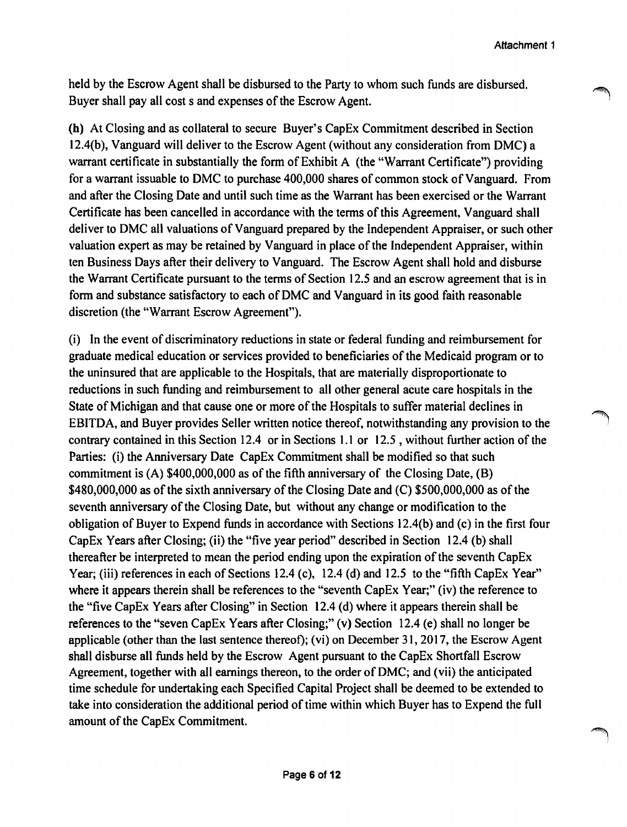held by the Escrow Agent shall be disbursed to the Party to whom such funds are disbursed. Buyer shall pay all cost s and expenses of the Escrow Agent.

**(h)** At Closing and as collateral to secure Buyer's CapEx Commitment described in Section 12.4(b), Vanguard will deliver to the Escrow Agent (without any consideration from DMC) a warrant certificate in substantially the form of Exhibit A (the "Warrant Certificate") providing for a warrant issuable to DMC to purchase 400,000 shares of common stock of Vanguard. From and after the Closing Date and until such time as the Warrant has been exercised or the Warrant Certificate has been cancelled in accordance with the terms of this Agreement, Vanguard shall deliver to DMC all valuations of Vanguard prepared by the Independent Appraiser, or such other valuation expert as may be retained by Vanguard in place of the Independent Appraiser, within ten Business Days after their delivery to Vanguard. The Escrow Agent shall hold and disburse the Warrant Certificate pursuant to the terms of Section 12.5 and an escrow agreement that is in form and substance satisfactory to each of DMC and Vanguard in its good faith reasonable discretion (the "Warrant Escrow Agreement").

(i) In the event of discriminatory reductions in state or federal funding and reimbursement for graduate medical education or services provided to beneficiaries of the Medicaid program or to the uninsured that are applicable to the Hospitals, that are materially disproportionate to reductions in such funding and reimbursement to all other general acute care hospitals in the State of Michigan and that cause one or more of the Hospitals to suffer material declines in EBITDA, and Buyer provides Seller written notice thereof, notwithstanding any provision to the contrary contained in this Section 12.4 or in Sections 1.1 or 12.5 , without further action of the Parties: (i) the Anniversary Date CapEx Commitment shall be modified so that such commitment is (A) \$400,000,000 as of the fifth anniversary of the Closing Date, (B) \$480,000,000 as of the sixth anniversary of the Closing Date and (C) \$500,000,000 as of the seventh anniversary of the Closing Date, but without any change or modification to the obligation of Buyer to Expend funds in accordance with Sections 12.4(b) and ( c) in the first four CapEx Years after Closing; (ii) the "five year period" described in Section 12.4 (b) shall thereafter be interpreted to mean the period ending upon the expiration of the seventh CapEx Year; (iii) references in each of Sections 12.4 (c), 12.4 (d) and 12.5 to the "fifth Cap Ex Year" where it appears therein shall be references to the "seventh CapEx Year;" (iv) the reference to the "five CapEx Years after Closing" in Section 12.4 (d) where it appears therein shall be references to the "seven CapEx Years after Closing;" (v) Section 12.4 (e) shall no longer be applicable (other than the last sentence thereof); (vi) on December 31, 2017, the Escrow Agent shall disburse all funds held by the Escrow Agent pursuant to the CapEx Shortfall Escrow Agreement, together with all earnings thereon, to the order of DMC; and (vii) the anticipated time schedule for undertaking each Specified Capital Project shall be deemed to be extended to take into consideration the additional period of time within which Buyer has to Expend the full amount of the CapEx Commitment.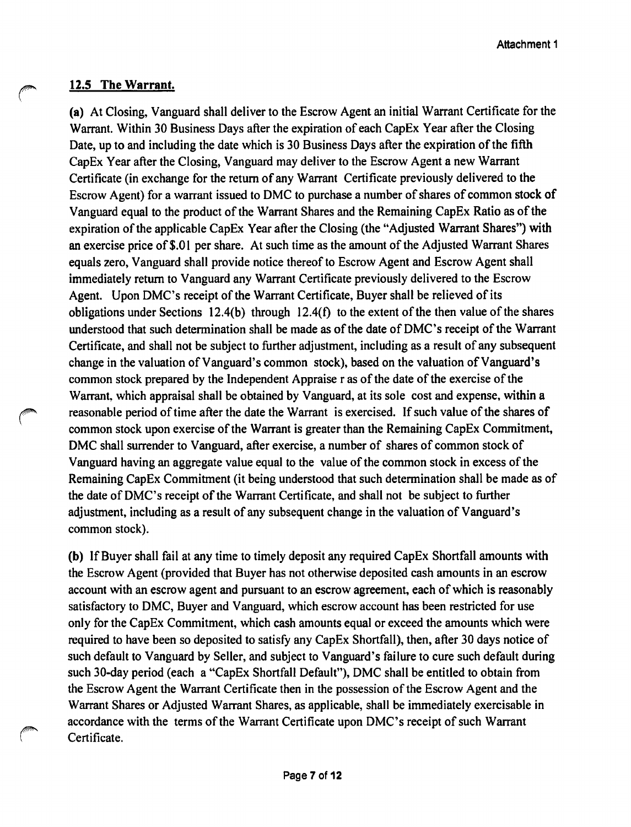#### **12.5 The Warrant.**

**(a)** At Closing, Vanguard shall deliver to the Escrow Agent an initial Warrant Certificate for the Warrant. Within 30 Business Days after the expiration of each CapEx Year after the Closing Date, up to and including the date which is 30 Business Days after the expiration of the fifth CapEx Year after the Closing, Vanguard may deliver to the Escrow Agent a new Warrant Certificate (in exchange for the return of any Warrant Certificate previously delivered to the Escrow Agent) for a warrant issued to DMC to purchase a number of shares of common stock of Vanguard equal to the product of the Warrant Shares and the Remaining CapEx Ratio as of the expiration of the applicable CapEx Year after the Closing (the "Adjusted Warrant Shares") with an exercise price of\$.0l per share. At such time as the amount of the Adjusted Warrant Shares equals zero, Vanguard shall provide notice thereof to Escrow Agent and Escrow Agent shall immediately return to Vanguard any Warrant Certificate previously delivered to the Escrow Agent. Upon DMC's receipt of the Warrant Certificate, Buyer shall be relieved of its obligations under Sections 12.4(b) through 12.4(f) to the extent of the then value of the shares understood that such determination shall be made as of the date of DMC's receipt of the Warrant Certificate, and shall not be subject to further adjustment, including as a result of any subsequent change in the valuation of Vanguard's common stock), based on the valuation of Vanguard's common stock prepared by the Independent Appraise r as of the date of the exercise of the Warrant, which appraisal shall be obtained by Vanguard, at its sole cost and expense, within a reasonable period of time after the date the Warrant is exercised. If such value of the shares of common stock upon exercise of the Warrant is greater than the Remaining CapEx Commitment, DMC shall surrender to Vanguard, after exercise, a number of shares of common stock of Vanguard having an aggregate value equal to the value of the common stock in excess of the Remaining CapEx Commitment (it being understood that such determination shall be made as of the date of DMC's receipt of the Warrant Certificate, and shall not be subject to further adjustment, including as a result of any subsequent change in the valuation of Vanguard's common stock).

**(b)** If Buyer shall fail at any time to timely deposit any required CapEx Shortfall amounts with the Escrow Agent (provided that Buyer has not otherwise deposited cash amounts in an escrow account with an escrow agent and pursuant to an escrow agreement, each of which is reasonably satisfactory to DMC, Buyer and Vanguard, which escrow account has been restricted for use only for the CapEx Commitment, which cash amounts equal or exceed the amounts which were required to have been so deposited to satisfy any CapEx Shortfall), then, after 30 days notice of such default to Vanguard by Seller, and subject to Vanguard's failure to cure such default during such 30-day period (each a "CapEx Shortfall Default"), DMC shall be entitled to obtain from the Escrow Agent the Warrant Certificate then in the possession of the Escrow Agent and the Warrant Shares or Adjusted Warrant Shares, as applicable, shall be immediately exercisable in accordance with the terms of the Warrant Certificate upon DMC's receipt of such Warrant Certificate.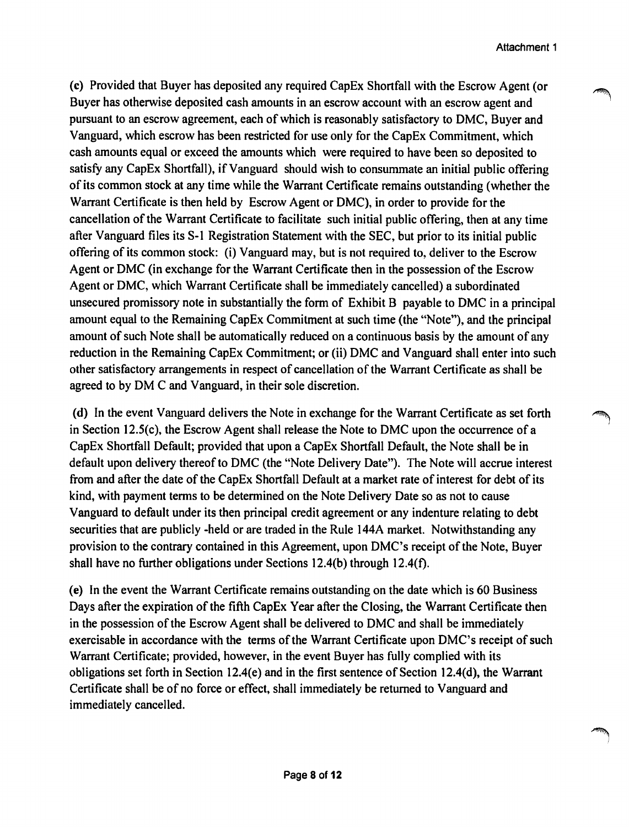(c) Provided that Buyer has deposited any required CapEx Shortfall with the Escrow Agent (or Buyer has otherwise deposited cash amounts in an escrow account with an escrow agent and pursuant to an escrow agreement, each of which is reasonably satisfactory to DMC, Buyer and Vanguard, which escrow has been restricted for use only for the CapEx Commitment, which cash amounts equal or exceed the amounts which were required to have been so deposited to satisfy any CapEx Shortfall), if Vanguard should wish to consummate an initial public offering of its common stock at any time while the Warrant Certificate remains outstanding (whether the Warrant Certificate is then held by Escrow Agent or DMC), in order to provide for the cancellation of the Warrant Certificate to facilitate such initial public offering, then at any time after Vanguard files its S-1 Registration Statement with the SEC, but prior to its initial public offering of its common stock: (i) Vanguard may, but is not required to, deliver to the Escrow Agent or DMC (in exchange for the Warrant Certificate then in the possession of the Escrow Agent or DMC, which Warrant Certificate shall be immediately cancelled) a subordinated unsecured promissory note in substantially the form of Exhibit B payable to DMC in a principal amount equal to the Remaining CapEx Commitment at such time (the "Note"), and the principal amount of such Note shall be automatically reduced on a continuous basis by the amount of any reduction in the Remaining CapEx Commitment; or (ii) DMC and Vanguard shall enter into such other satisfactory arrangements in respect of cancellation of the Warrant Certificate as shall be agreed to by OM C and Vanguard, in their sole discretion.

(d) In the event Vanguard delivers the Note in exchange for the Warrant Certificate as set forth in Section 12.S(c), the Escrow Agent shall release the Note to DMC upon the occurrence of a CapEx Shortfall Default; provided that upon a CapEx Shortfall Default, the Note shall be in default upon delivery thereof to DMC (the "Note Delivery Date"). The Note will accrue interest from and after the date of the CapEx Shortfall Default at a market rate of interest for debt of its kind, with payment terms to be determined on the Note Delivery Date so as not to cause Vanguard to default under its then principal credit agreement or any indenture relating to debt securities that are publicly -held or are traded in the Rule 144A market. Notwithstanding any provision to the contrary contained in this Agreement, upon DMC's receipt of the Note, Buyer shall have no further obligations under Sections  $12.4(b)$  through  $12.4(f)$ .

(e) In the event the Warrant Certificate remains outstanding on the date which is 60 Business Days after the expiration of the fifth CapEx Year after the Closing, the Warrant Certificate then in the possession of the Escrow Agent shall be delivered to DMC and shall be immediately exercisable in accordance with the terms of the Warrant Certificate upon DMC's receipt of such Warrant Certificate; provided, however, in the event Buyer has fully complied with its obligations set forth in Section 12.4(e) and in the first sentence of Section 12.4(d), the Warrant Certificate shall be of no force or effect, shall immediately be returned to Vanguard and immediately cancelled.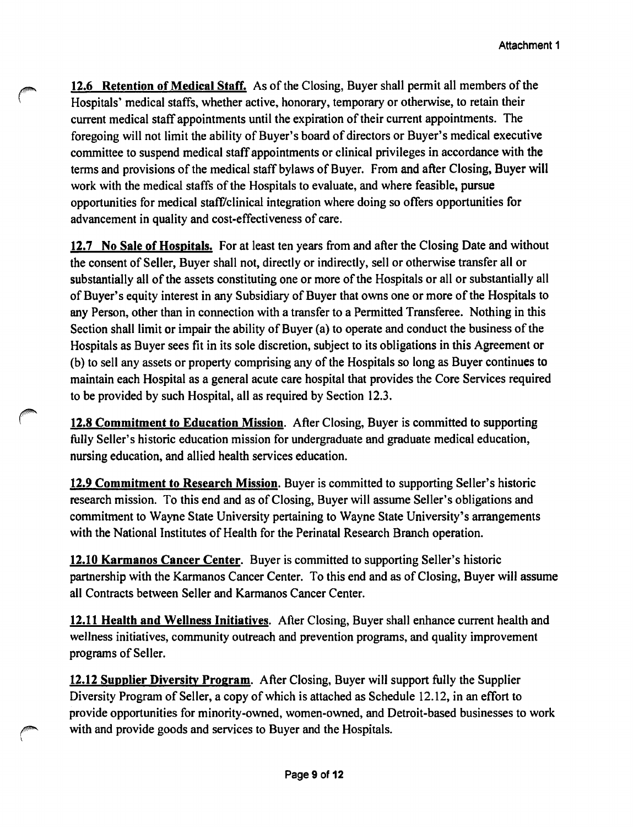**12.6 Retention of Medical Staff.** As of the Closing, Buyer shall permit all members of the Hospitals' medical staffs, whether active, honorary, temporary or otherwise, to retain their current medical staff appointments until the expiration of their current appointments. The foregoing will not limit the ability of Buyer's board of directors or Buyer's medical executive committee to suspend medical staff appointments or clinical privileges in accordance with the terms and provisions of the medical staff bylaws of Buyer. From and after Closing, Buyer will work with the medical staffs of the Hospitals to evaluate, and where feasible, pursue opportunities for medical staff/clinical integration where doing so offers opportunities for advancement in quality and cost-effectiveness of care.

**12.7 No Sale of Hospitals.** For at least ten years from and after the Closing Date and without the consent of Seller, Buyer shall not, directly or indirectly, sell or otherwise transfer all or substantially all of the assets constituting one or more of the Hospitals or all or substantially all of Buyer's equity interest in any Subsidiary of Buyer that owns one or more of the Hospitals to any Person, other than in connection with a transfer to a Permitted Transferee. Nothing in this Section shall limit or impair the ability of Buyer (a) to operate and conduct the business of the Hospitals as Buyer sees fit in its sole discretion, subject to its obligations in this Agreement or (b) to sell any assets or property comprising any of the Hospitals so long as Buyer continues to maintain each Hospital as a general acute care hospital that provides the Core Services required to be provided by such Hospital, all as required by Section 12.3.

**12.8 Commitment to Education Mission.** After Closing, Buyer is committed to supporting fully Seller's historic education mission for undergraduate and graduate medical education, nursing education, and allied health services education.

**12.9 Commitment to Research Mission.** Buyer is committed to supporting Seller's historic research mission. To this end and as of Closing, Buyer will assume Seller's obligations and commitment to Wayne State University pertaining to Wayne State University's arrangements with the National Institutes of Health for the Perinatal Research Branch operation.

**12.10 Karmanos Cancer Center.** Buyer is committed to supporting Seller's historic partnership with the Karmanos Cancer Center. To this end and as of Closing, Buyer will assume all Contracts between Seller and Karmanos Cancer Center.

**12.11 Health and Wellness Initiatives.** After Closing, Buyer shall enhance current health and wellness initiatives, community outreach and prevention programs, and quality improvement programs of Seller.

**12.12 Supplier Diversity Program.** After Closing, Buyer will support fully the Supplier Diversity Program of Seller, a copy of which is attached as Schedule 12.12, in an effort to provide opportunities for minority-owned, women-owned, and Detroit-based businesses to work with and provide goods and services to Buyer and the Hospitals.

 $\mathbf{r}$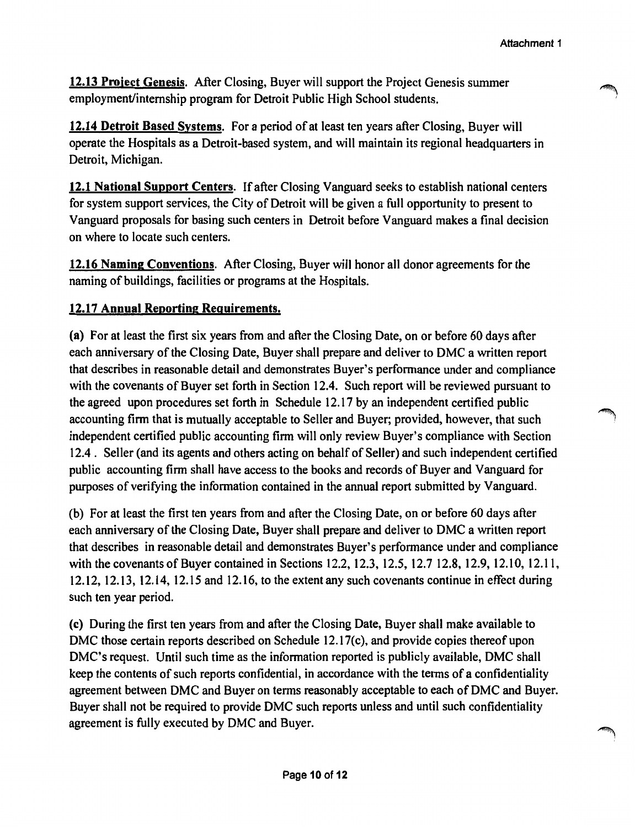**12.13 Proiect Genesis.** After Closing, Buyer will support the Project Genesis summer employment/internship program for Detroit Public High School students.

**12.14 Detroit Based Systems.** For a period of at least ten years after Closing, Buyer will operate the Hospitals as a Detroit-based system, and will maintain its regional headquarters in Detroit, Michigan.

**12.1 National Support Centers.** If after Closing Vanguard seeks to establish national centers for system support services, the City of Detroit will be given a full opportunity to present to Vanguard proposals for basing such centers in Detroit before Vanguard makes a final decision on where to locate such centers.

**12.16 Naming Conventions.** After Closing, Buyer will honor all donor agreements for the naming of buildings, facilities or programs at the Hospitals.

# **12.17 Annual Reporting Requirements.**

(a) For at least the first six years from and after the Closing Date, on or before 60 days after each anniversary of the Closing Date, Buyer shall prepare and deliver to DMC a written report that describes in reasonable detail and demonstrates Buyer's performance under and compliance with the covenants of Buyer set forth in Section 12.4. Such report will be reviewed pursuant to the agreed upon procedures set forth in Schedule 12.17 by an independent certified public accounting firm that is mutually acceptable to Seller and Buyer; provided, however, that such independent certified public accounting firm will only review Buyer's compliance with Section 12.4. Seller (and its agents and others acting on behalf of Seller) and such independent certified public accounting firm shall have access to the books and records of Buyer and Vanguard for purposes of verifying the information contained in the annual report submitted by Vanguard.

(b) For at least the first ten years from and after the Closing Date, on or before 60 days after each anniversary of the Closing Date, Buyer shall prepare and deliver to DMC a written report that describes in reasonable detail and demonstrates Buyer's performance under and compliance with the covenants of Buyer contained in Sections 12.2, 12.3, 12.5, 12.7 12.8, 12.9, 12.10, 12.11, 12.12, 12.13, 12.14, 12.15 and 12.16, to the extent any such covenants continue in effect during such ten year period.

(c) During the first ten years from and after the Closing Date, Buyer shall make available to DMC those certain reports described on Schedule 12.17(c), and provide copies thereof upon DMC's request. Until such time as the information reported is publicly available, DMC shall keep the contents of such reports confidential, in accordance with the terms of a confidentiality agreement between DMC and Buyer on terms reasonably acceptable to each of DMC and Buyer. Buyer shall not be required to provide DMC such reports unless and until such confidentiality agreement is fully executed by DMC and Buyer.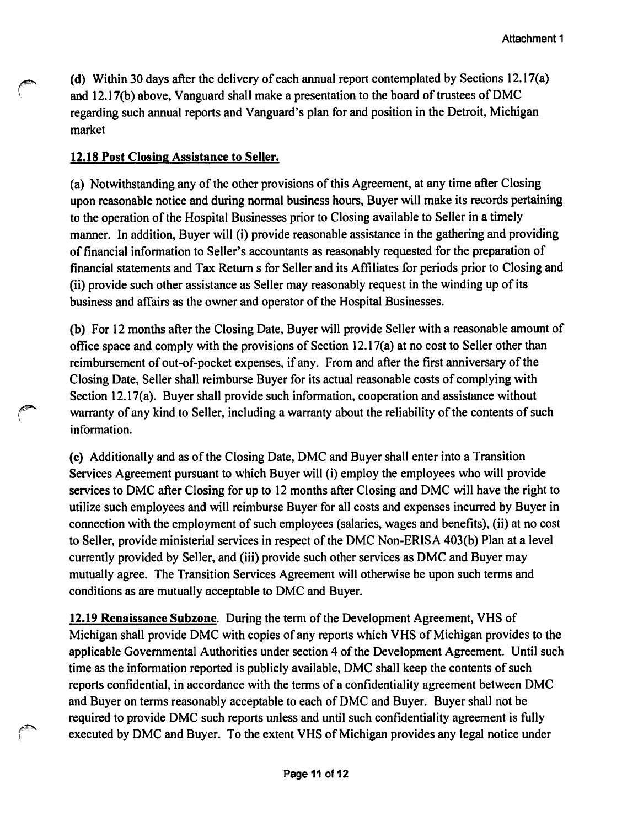**(d)** Within 30 days after the delivery of each annual report contemplated by Sections 12.17(a) and 12.17(b) above, Vanguard shall make a presentation to the board of trustees of DMC regarding such annual reports and Vanguard's plan for and position in the Detroit, Michigan market

## **12.18 Post Closing Assistance to Seller.**

(a) Notwithstanding any of the other provisions of this Agreement, at any time after Closing upon reasonable notice and during normal business hours, Buyer will make its records pertaining to the operation of the Hospital Businesses prior to Closing available to Seller in a timely manner. In addition, Buyer will (i) provide reasonable assistance in the gathering and providing of financial information to Seller's accountants as reasonably requested for the preparation of financial statements and Tax Return s for Seller and its Affiliates for periods prior to Closing and (ii) provide such other assistance as Seller may reasonably request in the winding up of its business and affairs as the owner and operator of the Hospital Businesses.

**(b)** For 12 months after the Closing Date, Buyer will provide Seller with a reasonable amount of office space and comply with the provisions of Section 12.17(a) at no cost to Seller other than reimbursement of out-of-pocket expenses, if any. From and after the first anniversary of the Closing Date, Seller shall reimburse Buyer for its actual reasonable costs of complying with Section 12.17(a). Buyer shall provide such information, cooperation and assistance without warranty of any kind to Seller, including a warranty about the reliability of the contents of such information.

(c) Additionally and as of the Closing Date, DMC and Buyer shall enter into a Transition Services Agreement pursuant to which Buyer will (i) employ the employees who will provide services to DMC after Closing for up to 12 months after Closing and DMC will have the right to utilize such employees and will reimburse Buyer for all costs and expenses incurred by Buyer in connection with the employment of such employees (salaries, wages and benefits), (ii) at no cost to Seller, provide ministerial services in respect of the DMC Non-ERISA 403(b) Plan at a level currently provided by Seller, and (iii) provide such other services as DMC and Buyer may mutually agree. The Transition Services Agreement will otherwise be upon such terms and conditions as are mutually acceptable to DMC and Buyer.

**12.19 Renaissance Subzone.** During the term of the Development Agreement, VHS of Michigan shall provide DMC with copies of any reports which VHS of Michigan provides to the applicable Governmental Authorities under section 4 of the Development Agreement. Until such time as the information reported is publicly available, DMC shall keep the contents of such reports confidential, in accordance with the terms of a confidentiality agreement between DMC and Buyer on terms reasonably acceptable to each of DMC and Buyer. Buyer shall not be required to provide DMC such reports unless and until such confidentiality agreement is fully executed by DMC and Buyer. To the extent VHS of Michigan provides any legal notice under